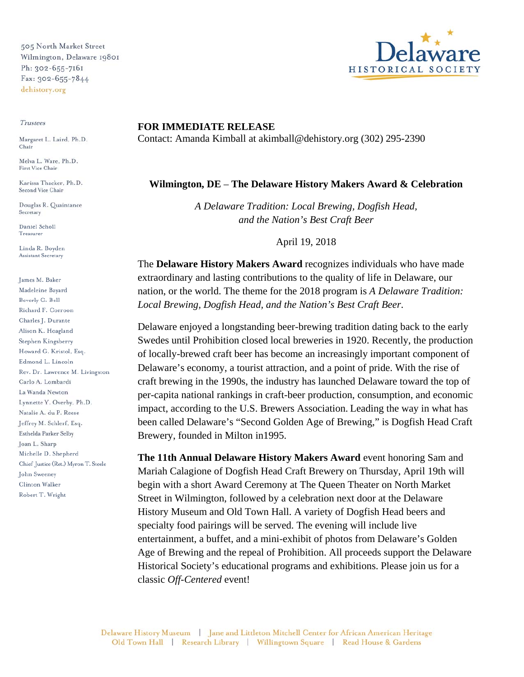505 North Market Street Wilmington, Delaware 19801 Ph: 302-655-7161 Fax: 302-655-7844 dehistory.org

## Trustees

Margaret L. Laird, Ph.D. Chair

Melva L. Ware, Ph.D. First Vice Chair

Karissa Thacker, Ph.D. Second Vice Chair

Douglas R. Quaintance Secretary

Daniel Scholl Treasurer

Linda R. Boyden Assistant Secretary

James M. Baker Madeleine Bayard Beverly G. Bell Richard F. Corroon Charles J. Durante Alison K. Hoagland Stephen Kingsberry Howard G. Kristol, Esq. Edmond L. Lincoln Rev. Dr. Lawrence M. Livingston Carlo A. Lombardi La Wanda Newton Lynnette Y. Overby, Ph.D. Natalie A. du P. Reese Jeffrey M. Schlerf, Esq. Esthelda Parker Selby Joan L. Sharp Michelle D. Shepherd Chief Justice (Ret.) Myron T. Steele John Sweeney Clinton Walker Robert T. Wright



## **FOR IMMEDIATE RELEASE**  Contact: Amanda Kimball at akimball@dehistory.org (302) 295-2390

## **Wilmington, DE** – **The Delaware History Makers Award & Celebration**

*A Delaware Tradition: Local Brewing, Dogfish Head, and the Nation's Best Craft Beer*

April 19, 2018

The **Delaware History Makers Award** recognizes individuals who have made extraordinary and lasting contributions to the quality of life in Delaware, our nation, or the world. The theme for the 2018 program is *A Delaware Tradition: Local Brewing, Dogfish Head, and the Nation's Best Craft Beer*.

Delaware enjoyed a longstanding beer-brewing tradition dating back to the early Swedes until Prohibition closed local breweries in 1920. Recently, the production of locally-brewed craft beer has become an increasingly important component of Delaware's economy, a tourist attraction, and a point of pride. With the rise of craft brewing in the 1990s, the industry has launched Delaware toward the top of per-capita national rankings in craft-beer production, consumption, and economic impact, according to the U.S. Brewers Association. Leading the way in what has been called Delaware's "Second Golden Age of Brewing," is Dogfish Head Craft Brewery, founded in Milton in1995.

**The 11th Annual Delaware History Makers Award** event honoring Sam and Mariah Calagione of Dogfish Head Craft Brewery on Thursday, April 19th will begin with a short Award Ceremony at The Queen Theater on North Market Street in Wilmington, followed by a celebration next door at the Delaware History Museum and Old Town Hall. A variety of Dogfish Head beers and specialty food pairings will be served. The evening will include live entertainment, a buffet, and a mini-exhibit of photos from Delaware's Golden Age of Brewing and the repeal of Prohibition. All proceeds support the Delaware Historical Society's educational programs and exhibitions. Please join us for a classic *Off-Centered* event!